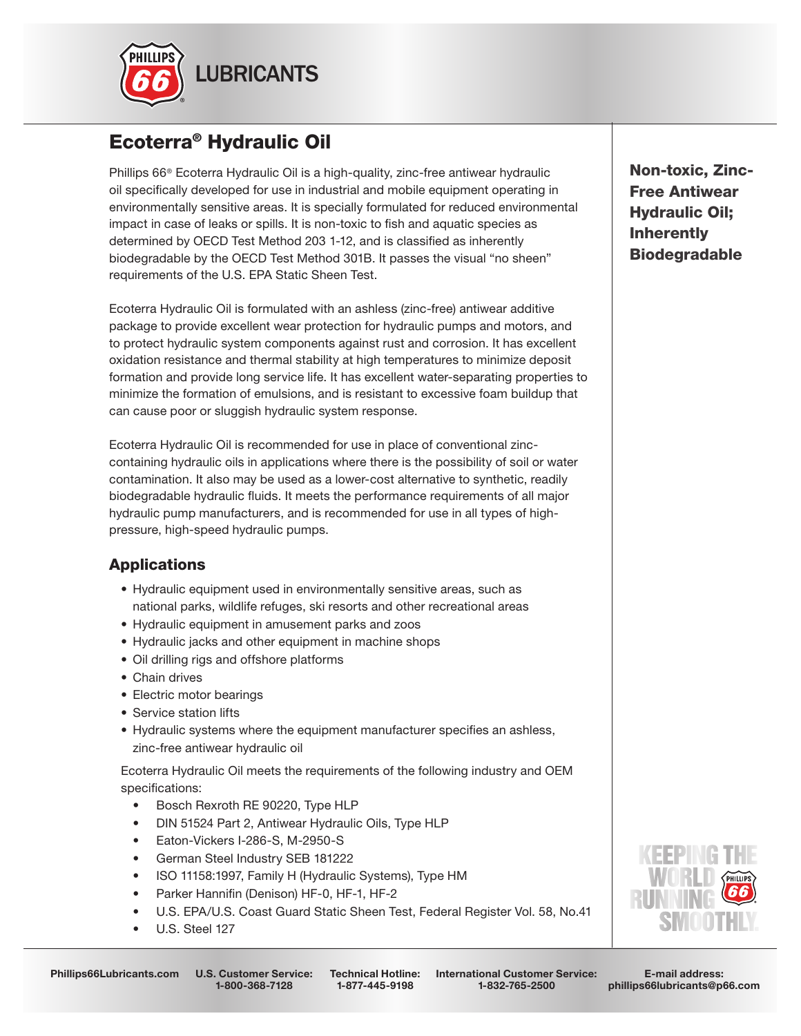

# Ecoterra® Hydraulic Oil

Phillips 66® Ecoterra Hydraulic Oil is a high-quality, zinc-free antiwear hydraulic oil specifically developed for use in industrial and mobile equipment operating in environmentally sensitive areas. It is specially formulated for reduced environmental impact in case of leaks or spills. It is non-toxic to fish and aquatic species as determined by OECD Test Method 203 1-12, and is classified as inherently biodegradable by the OECD Test Method 301B. It passes the visual "no sheen" requirements of the U.S. EPA Static Sheen Test.

Ecoterra Hydraulic Oil is formulated with an ashless (zinc-free) antiwear additive package to provide excellent wear protection for hydraulic pumps and motors, and to protect hydraulic system components against rust and corrosion. It has excellent oxidation resistance and thermal stability at high temperatures to minimize deposit formation and provide long service life. It has excellent water-separating properties to minimize the formation of emulsions, and is resistant to excessive foam buildup that can cause poor or sluggish hydraulic system response.

Ecoterra Hydraulic Oil is recommended for use in place of conventional zinccontaining hydraulic oils in applications where there is the possibility of soil or water contamination. It also may be used as a lower-cost alternative to synthetic, readily biodegradable hydraulic fluids. It meets the performance requirements of all major hydraulic pump manufacturers, and is recommended for use in all types of highpressure, high-speed hydraulic pumps.

## **Applications**

- Hydraulic equipment used in environmentally sensitive areas, such as national parks, wildlife refuges, ski resorts and other recreational areas
- Hydraulic equipment in amusement parks and zoos
- Hydraulic jacks and other equipment in machine shops
- Oil drilling rigs and offshore platforms
- Chain drives
- Electric motor bearings
- Service station lifts
- Hydraulic systems where the equipment manufacturer specifies an ashless, zinc-free antiwear hydraulic oil

 Ecoterra Hydraulic Oil meets the requirements of the following industry and OEM specifications:

- Bosch Rexroth RE 90220, Type HLP
- DIN 51524 Part 2, Antiwear Hydraulic Oils, Type HLP
- Eaton-Vickers I-286-S, M-2950-S
- German Steel Industry SEB 181222
- ISO 11158:1997, Family H (Hydraulic Systems), Type HM
- Parker Hannifin (Denison) HF-0, HF-1, HF-2
- U.S. EPA/U.S. Coast Guard Static Sheen Test, Federal Register Vol. 58, No.41
- U.S. Steel 127

Phillips66Lubricants.com U.S. Customer Service:

1-800-368-7128

International Customer Service: 1-832-765-2500 Technical Hotline: 1-877-445-9198

Non-toxic, Zinc-Free Antiwear Hydraulic Oil; Inherently Biodegradable



E-mail address: phillips66lubricants@p66.com